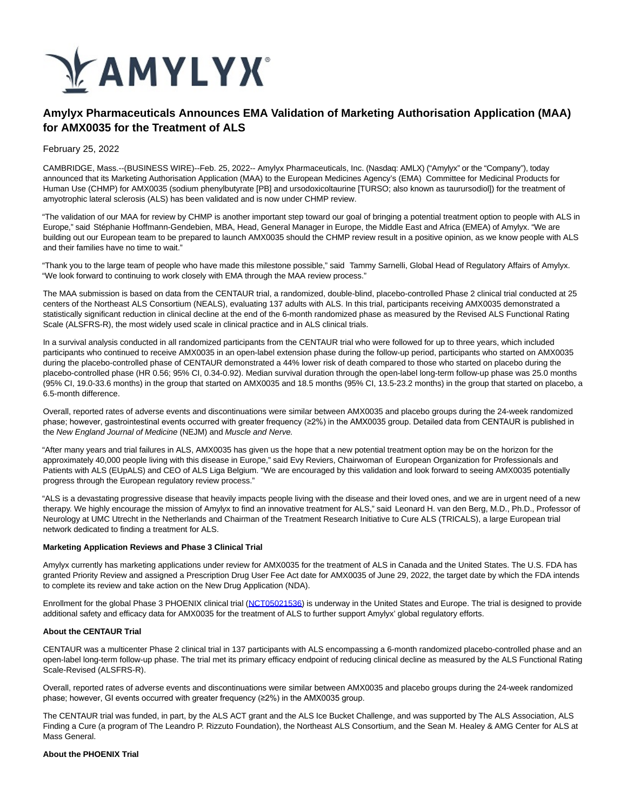

# **Amylyx Pharmaceuticals Announces EMA Validation of Marketing Authorisation Application (MAA) for AMX0035 for the Treatment of ALS**

February 25, 2022

CAMBRIDGE, Mass.--(BUSINESS WIRE)--Feb. 25, 2022-- Amylyx Pharmaceuticals, Inc. (Nasdaq: AMLX) ("Amylyx" or the "Company"), today announced that its Marketing Authorisation Application (MAA) to the European Medicines Agency's (EMA) Committee for Medicinal Products for Human Use (CHMP) for AMX0035 (sodium phenylbutyrate [PB] and ursodoxicoltaurine [TURSO; also known as taurursodiol]) for the treatment of amyotrophic lateral sclerosis (ALS) has been validated and is now under CHMP review.

"The validation of our MAA for review by CHMP is another important step toward our goal of bringing a potential treatment option to people with ALS in Europe," said Stéphanie Hoffmann-Gendebien, MBA, Head, General Manager in Europe, the Middle East and Africa (EMEA) of Amylyx. "We are building out our European team to be prepared to launch AMX0035 should the CHMP review result in a positive opinion, as we know people with ALS and their families have no time to wait."

"Thank you to the large team of people who have made this milestone possible," said Tammy Sarnelli, Global Head of Regulatory Affairs of Amylyx. "We look forward to continuing to work closely with EMA through the MAA review process."

The MAA submission is based on data from the CENTAUR trial, a randomized, double-blind, placebo-controlled Phase 2 clinical trial conducted at 25 centers of the Northeast ALS Consortium (NEALS), evaluating 137 adults with ALS. In this trial, participants receiving AMX0035 demonstrated a statistically significant reduction in clinical decline at the end of the 6-month randomized phase as measured by the Revised ALS Functional Rating Scale (ALSFRS-R), the most widely used scale in clinical practice and in ALS clinical trials.

In a survival analysis conducted in all randomized participants from the CENTAUR trial who were followed for up to three years, which included participants who continued to receive AMX0035 in an open-label extension phase during the follow-up period, participants who started on AMX0035 during the placebo-controlled phase of CENTAUR demonstrated a 44% lower risk of death compared to those who started on placebo during the placebo-controlled phase (HR 0.56; 95% CI, 0.34-0.92). Median survival duration through the open-label long-term follow-up phase was 25.0 months (95% CI, 19.0-33.6 months) in the group that started on AMX0035 and 18.5 months (95% CI, 13.5-23.2 months) in the group that started on placebo, a 6.5-month difference.

Overall, reported rates of adverse events and discontinuations were similar between AMX0035 and placebo groups during the 24-week randomized phase; however, gastrointestinal events occurred with greater frequency (≥2%) in the AMX0035 group. Detailed data from CENTAUR is published in the New England Journal of Medicine (NEJM) and Muscle and Nerve.

"After many years and trial failures in ALS, AMX0035 has given us the hope that a new potential treatment option may be on the horizon for the approximately 40,000 people living with this disease in Europe," said Evy Reviers, Chairwoman of European Organization for Professionals and Patients with ALS (EUpALS) and CEO of ALS Liga Belgium. "We are encouraged by this validation and look forward to seeing AMX0035 potentially progress through the European regulatory review process."

"ALS is a devastating progressive disease that heavily impacts people living with the disease and their loved ones, and we are in urgent need of a new therapy. We highly encourage the mission of Amylyx to find an innovative treatment for ALS," said Leonard H. van den Berg, M.D., Ph.D., Professor of Neurology at UMC Utrecht in the Netherlands and Chairman of the Treatment Research Initiative to Cure ALS (TRICALS), a large European trial network dedicated to finding a treatment for ALS.

### **Marketing Application Reviews and Phase 3 Clinical Trial**

Amylyx currently has marketing applications under review for AMX0035 for the treatment of ALS in Canada and the United States. The U.S. FDA has granted Priority Review and assigned a Prescription Drug User Fee Act date for AMX0035 of June 29, 2022, the target date by which the FDA intends to complete its review and take action on the New Drug Application (NDA).

Enrollment for the global Phase 3 PHOENIX clinical trial [\(NCT05021536\)](https://cts.businesswire.com/ct/CT?id=smartlink&url=https%3A%2F%2Fclinicaltrials.gov%2Fct2%2Fshow%2FNCT05021536%3Fterm%3DNCT05021536%26draw%3D2%26rank%3D1&esheet=52585297&newsitemid=20220224005861&lan=en-US&anchor=NCT05021536&index=1&md5=e638bdf44d530beb8e03a85cccc2eabc) is underway in the United States and Europe. The trial is designed to provide additional safety and efficacy data for AMX0035 for the treatment of ALS to further support Amylyx' global regulatory efforts.

## **About the CENTAUR Trial**

CENTAUR was a multicenter Phase 2 clinical trial in 137 participants with ALS encompassing a 6-month randomized placebo-controlled phase and an open-label long-term follow-up phase. The trial met its primary efficacy endpoint of reducing clinical decline as measured by the ALS Functional Rating Scale-Revised (ALSFRS-R).

Overall, reported rates of adverse events and discontinuations were similar between AMX0035 and placebo groups during the 24-week randomized phase; however, GI events occurred with greater frequency (≥2%) in the AMX0035 group.

The CENTAUR trial was funded, in part, by the ALS ACT grant and the ALS Ice Bucket Challenge, and was supported by The ALS Association, ALS Finding a Cure (a program of The Leandro P. Rizzuto Foundation), the Northeast ALS Consortium, and the Sean M. Healey & AMG Center for ALS at Mass General.

#### **About the PHOENIX Trial**